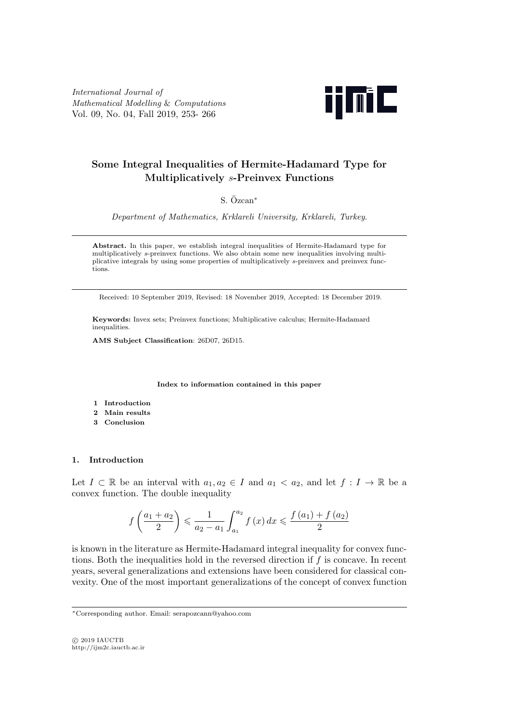*International Journal of Mathematical Modelling* & *Computations* Vol. 09, No. 04, Fall 2019, 253- 266



# **Some Integral Inequalities of Hermite-Hadamard Type for Multiplicatively** *s***-Preinvex Functions**

# S. Ozcan ¨ *<sup>∗</sup>*

*Department of Mathematics, Krklareli University, Krklareli, Turkey*.

**Abstract.** In this paper, we establish integral inequalities of Hermite-Hadamard type for multiplicatively *s*-preinvex functions. We also obtain some new inequalities involving multiplicative integrals by using some properties of multiplicatively *s*-preinvex and preinvex functions.

Received: 10 September 2019, Revised: 18 November 2019, Accepted: 18 December 2019.

**Keywords:** Invex sets; Preinvex functions; Multiplicative calculus; Hermite-Hadamard inequalities.

**AMS Subject Classification**: 26D07, 26D15.

**Index to information contained in this paper**

- **1 Introduction**
- **2 Main results**
- **3 Conclusion**

## **1. Introduction**

Let  $I \subset \mathbb{R}$  be an interval with  $a_1, a_2 \in I$  and  $a_1 < a_2$ , and let  $f : I \to \mathbb{R}$  be a convex function. The double inequality

$$
f\left(\frac{a_1 + a_2}{2}\right) \le \frac{1}{a_2 - a_1} \int_{a_1}^{a_2} f(x) dx \le \frac{f(a_1) + f(a_2)}{2}
$$

is known in the literature as Hermite-Hadamard integral inequality for convex functions. Both the inequalities hold in the reversed direction if *f* is concave. In recent years, several generalizations and extensions have been considered for classical convexity. One of the most important generalizations of the concept of convex function

*<sup>∗</sup>*Corresponding author. Email: serapozcann@yahoo.com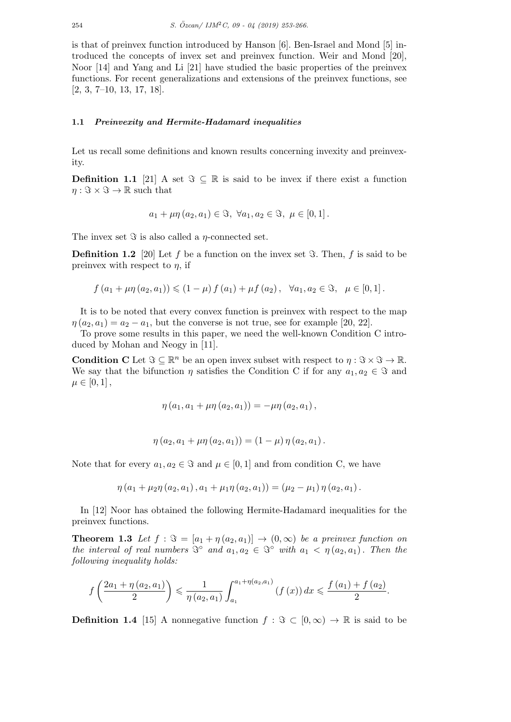is that of preinvex function introduced by Hanson [6]. Ben-Israel and Mond [5] introduced the concepts of invex set and preinvex function. Weir and Mond [20], Noor [14] and Yang and Li [21] have studied the basic properties of the preinvex functions. For recent generalizations and extensions of the preinvex functions, see [2, 3, 7–10, 13, 17, 18].

### **1.1** *Preinvexity and Hermite-Hadamard inequalities*

Let us recall some definitions and known results concerning invexity and preinvexity.

**Definition 1.1** [21] A set  $\Im \subseteq \mathbb{R}$  is said to be invex if there exist a function  $\eta : \Im \times \Im \to \mathbb{R}$  such that

$$
a_1 + \mu \eta (a_2, a_1) \in \Im, \ \forall a_1, a_2 \in \Im, \ \mu \in [0, 1].
$$

The invex set *ℑ* is also called a *η*-connected set.

**Definition 1.2** [20] Let f be a function on the invex set  $\Im$ . Then, f is said to be preinvex with respect to  $\eta$ , if

$$
f(a_1 + \mu \eta(a_2, a_1)) \le (1 - \mu) f(a_1) + \mu f(a_2), \quad \forall a_1, a_2 \in \Im, \quad \mu \in [0, 1].
$$

It is to be noted that every convex function is preinvex with respect to the map  $\eta(a_2, a_1) = a_2 - a_1$ , but the converse is not true, see for example [20, 22].

To prove some results in this paper, we need the well-known Condition C introduced by Mohan and Neogy in [11].

**Condition C** Let  $\Im \subseteq \mathbb{R}^n$  be an open invex subset with respect to  $\eta : \Im \times \Im \to \mathbb{R}$ . We say that the bifunction *η* satisfies the Condition C if for any  $a_1, a_2 \in \mathcal{F}$  and  $\mu \in [0, 1],$ 

$$
\eta (a_1, a_1 + \mu \eta (a_2, a_1)) = -\mu \eta (a_2, a_1),
$$

$$
\eta(a_2, a_1 + \mu \eta(a_2, a_1)) = (1 - \mu) \eta(a_2, a_1).
$$

Note that for every  $a_1, a_2 \in \Im$  and  $\mu \in [0, 1]$  and from condition C, we have

$$
\eta (a_1 + \mu_2 \eta (a_2, a_1), a_1 + \mu_1 \eta (a_2, a_1)) = (\mu_2 - \mu_1) \eta (a_2, a_1).
$$

In [12] Noor has obtained the following Hermite-Hadamard inequalities for the preinvex functions.

**Theorem 1.3** Let  $f : \mathcal{F} = [a_1 + \eta(a_2, a_1)] \rightarrow (0, \infty)$  be a preinvex function on *the interval of real numbers*  $\mathfrak{S}^{\circ}$  *and*  $a_1, a_2 \in \mathfrak{S}^{\circ}$  *with*  $a_1 < \eta(a_2, a_1)$ *. Then the following inequality holds:*

$$
f\left(\frac{2a_1 + \eta(a_2, a_1)}{2}\right) \leq \frac{1}{\eta(a_2, a_1)} \int_{a_1}^{a_1 + \eta(a_2, a_1)} (f(x)) dx \leq \frac{f(a_1) + f(a_2)}{2}.
$$

**Definition 1.4** [15] A nonnegative function  $f : \Im \subset [0, \infty) \to \mathbb{R}$  is said to be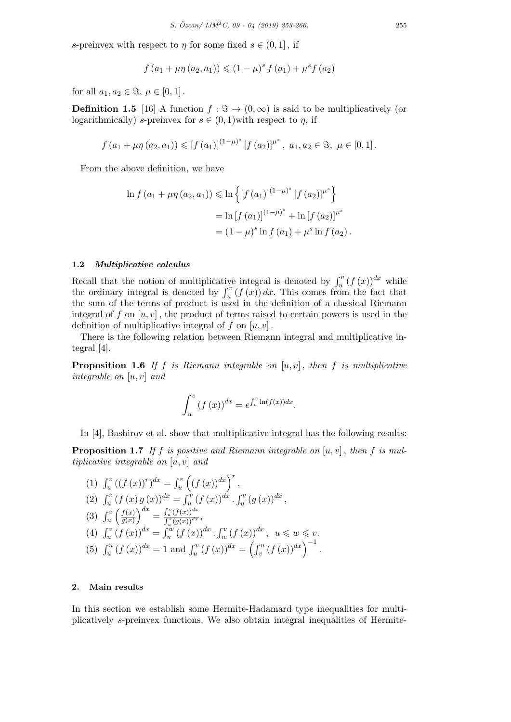*s*-preinvex with respect to *η* for some fixed  $s \in (0, 1]$ , if

$$
f(a_1 + \mu \eta(a_2, a_1)) \le (1 - \mu)^s f(a_1) + \mu^s f(a_2)
$$

for all  $a_1, a_2 \in \Im, \mu \in [0, 1]$ .

**Definition 1.5** [16] A function  $f : \mathcal{F} \to (0, \infty)$  is said to be multiplicatively (or logarithmically) *s*-preinvex for  $s \in (0,1)$  with respect to  $\eta$ , if

$$
f(a_1 + \mu \eta(a_2, a_1)) \leq [f(a_1)]^{(1-\mu)^s} [f(a_2)]^{\mu^s}, a_1, a_2 \in \Im, \mu \in [0, 1].
$$

From the above definition, we have

$$
\ln f(a_1 + \mu \eta(a_2, a_1)) \le \ln \left\{ [f(a_1)]^{(1-\mu)^s} [f(a_2)]^{\mu^s} \right\}
$$
  
=  $\ln [f(a_1)]^{(1-\mu)^s} + \ln [f(a_2)]^{\mu^s}$   
=  $(1 - \mu)^s \ln f(a_1) + \mu^s \ln f(a_2)$ .

#### **1.2** *Multiplicative calculus*

Recall that the notion of multiplicative integral is denoted by  $\int_u^v (f(x))^{dx}$  while the ordinary integral is denoted by  $\int_u^v (f(x)) dx$ . This comes from the fact that the sum of the terms of product is used in the definition of a classical Riemann integral of  $f$  on  $[u, v]$ , the product of terms raised to certain powers is used in the definition of multiplicative integral of  $f$  on  $[u, v]$ .

There is the following relation between Riemann integral and multiplicative integral [4].

**Proposition 1.6** *If f is Riemann integrable on* [*u, v*] *, then f is multiplicative integrable on* [*u, v*] *and*

$$
\int_u^v (f(x))^{dx} = e^{\int_u^v \ln(f(x))dx}.
$$

In [4], Bashirov et al. show that multiplicative integral has the following results:

**Proposition 1.7** *If*  $f$  *is positive and Riemann integrable on*  $[u, v]$ *, then*  $f$  *is multiplicative integrable on* [*u, v*] *and*

(1) 
$$
\int_{u}^{v} ((f(x))^{r})^{dx} = \int_{u}^{v} ((f(x))^{dx})^{r},
$$
  
\n(2) 
$$
\int_{u}^{v} (f(x) g(x))^{dx} = \int_{u}^{v} (f(x))^{dx} \cdot \int_{u}^{v} (g(x))^{dx},
$$
  
\n(3) 
$$
\int_{u}^{v} \left(\frac{f(x)}{g(x)}\right)^{dx} = \frac{\int_{u}^{v} (f(x))^{dx}}{\int_{v}^{v} (g(x))^{dx}},
$$
  
\n(4) 
$$
\int_{u}^{v} (f(x))^{dx} = \int_{u}^{w} (f(x))^{dx} \cdot \int_{w}^{v} (f(x))^{dx}, u \leq w \leq v.
$$
  
\n(5) 
$$
\int_{u}^{u} (f(x))^{dx} = 1 \text{ and } \int_{u}^{v} (f(x))^{dx} = \left(\int_{v}^{u} (f(x))^{dx}\right)^{-1}.
$$

#### **2. Main results**

In this section we establish some Hermite-Hadamard type inequalities for multiplicatively *s*-preinvex functions. We also obtain integral inequalities of Hermite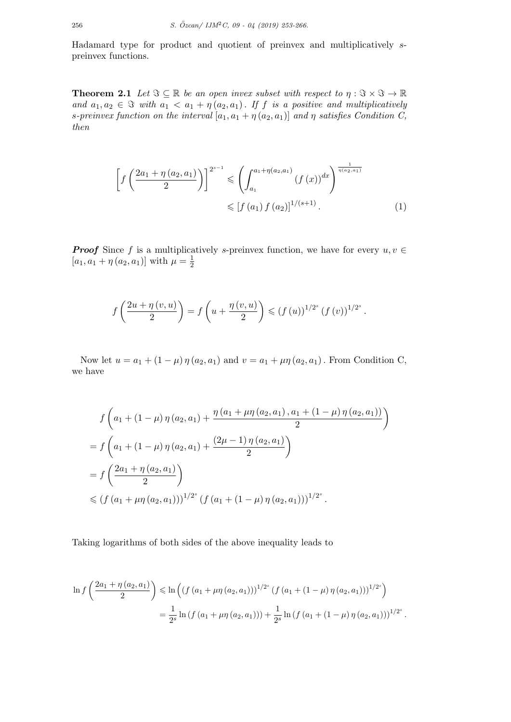Hadamard type for product and quotient of preinvex and multiplicatively *s*preinvex functions.

**Theorem 2.1** *Let*  $\Im \subseteq \mathbb{R}$  *be an open invex subset with respect to*  $\eta : \Im \times \Im \to \mathbb{R}$ *and*  $a_1, a_2 \in \mathcal{F}$  *with*  $a_1 < a_1 + \eta(a_2, a_1)$ *. If f is a positive and multiplicatively s*-preinvex function on the interval  $[a_1, a_1 + \eta(a_2, a_1)]$  and  $\eta$  satisfies Condition C, *then*

$$
\left[f\left(\frac{2a_1 + \eta(a_2, a_1)}{2}\right)\right]^{2^{s-1}} \leq \left(\int_{a_1}^{a_1 + \eta(a_2, a_1)} (f(x))^{dx}\right)^{\frac{1}{\eta(a_2, a_1)}}
$$

$$
\leq [f(a_1) f(a_2)]^{1/(s+1)}.
$$
 (1)

*Proof* Since *f* is a multiplicatively *s*-preinvex function, we have for every  $u, v \in$  $[a_1, a_1 + \eta (a_2, a_1)]$  with  $\mu = \frac{1}{2}$ 2

$$
f\left(\frac{2u + \eta(v, u)}{2}\right) = f\left(u + \frac{\eta(v, u)}{2}\right) \leq (f(u))^{1/2^{s}} (f(v))^{1/2^{s}}.
$$

Now let  $u = a_1 + (1 - \mu) \eta(a_2, a_1)$  and  $v = a_1 + \mu \eta(a_2, a_1)$ . From Condition C, we have

$$
f\left(a_1 + (1 - \mu)\eta(a_2, a_1) + \frac{\eta(a_1 + \mu\eta(a_2, a_1), a_1 + (1 - \mu)\eta(a_2, a_1))}{2}\right)
$$
  
=  $f\left(a_1 + (1 - \mu)\eta(a_2, a_1) + \frac{(2\mu - 1)\eta(a_2, a_1)}{2}\right)$   
=  $f\left(\frac{2a_1 + \eta(a_2, a_1)}{2}\right)$   
 $\leq (f(a_1 + \mu\eta(a_2, a_1)))^{1/2^s} (f(a_1 + (1 - \mu)\eta(a_2, a_1)))^{1/2^s}.$ 

Taking logarithms of both sides of the above inequality leads to

$$
\ln f\left(\frac{2a_1 + \eta(a_2, a_1)}{2}\right) \le \ln \left( \left( f\left(a_1 + \mu \eta(a_2, a_1)\right)\right)^{1/2^s} \left( f\left(a_1 + (1 - \mu)\eta(a_2, a_1)\right)\right)^{1/2^s} \right)
$$
  
= 
$$
\frac{1}{2^s} \ln \left( f\left(a_1 + \mu \eta(a_2, a_1)\right)\right) + \frac{1}{2^s} \ln \left( f\left(a_1 + (1 - \mu)\eta(a_2, a_1)\right)\right)^{1/2^s}.
$$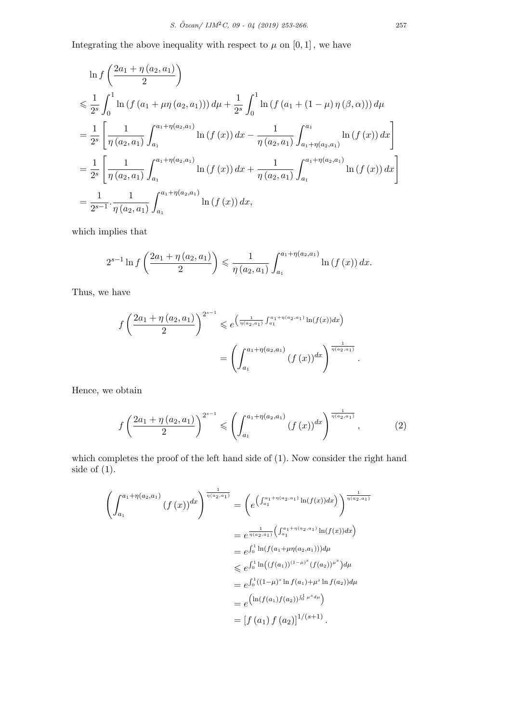Integrating the above inequality with respect to  $\mu$  on  $[0, 1]$ , we have

$$
\ln f\left(\frac{2a_1 + \eta(a_2, a_1)}{2}\right)
$$
\n
$$
\leq \frac{1}{2^s} \int_0^1 \ln\left(f\left(a_1 + \mu \eta(a_2, a_1)\right)\right) d\mu + \frac{1}{2^s} \int_0^1 \ln\left(f\left(a_1 + (1 - \mu)\eta(\beta, \alpha)\right)\right) d\mu
$$
\n
$$
= \frac{1}{2^s} \left[ \frac{1}{\eta(a_2, a_1)} \int_{a_1}^{a_1 + \eta(a_2, a_1)} \ln\left(f\left(x\right)\right) dx - \frac{1}{\eta(a_2, a_1)} \int_{a_1 + \eta(a_2, a_1)}^{a_1} \ln\left(f\left(x\right)\right) dx \right]
$$
\n
$$
= \frac{1}{2^s} \left[ \frac{1}{\eta(a_2, a_1)} \int_{a_1}^{a_1 + \eta(a_2, a_1)} \ln\left(f\left(x\right)\right) dx + \frac{1}{\eta(a_2, a_1)} \int_{a_1}^{a_1 + \eta(a_2, a_1)} \ln\left(f\left(x\right)\right) dx \right]
$$
\n
$$
= \frac{1}{2^{s-1}} \cdot \frac{1}{\eta(a_2, a_1)} \int_{a_1}^{a_1 + \eta(a_2, a_1)} \ln\left(f\left(x\right)\right) dx,
$$

which implies that

$$
2^{s-1}\ln f\left(\frac{2a_1+\eta(a_2,a_1)}{2}\right) \leq \frac{1}{\eta(a_2,a_1)} \int_{a_1}^{a_1+\eta(a_2,a_1)} \ln\left(f\left(x\right)\right) dx.
$$

Thus, we have

$$
f\left(\frac{2a_1 + \eta(a_2, a_1)}{2}\right)^{2^{s-1}} \leq e^{\left(\frac{1}{\eta(a_2, a_1)} \int_{a_1}^{a_1 + \eta(a_2, a_1)} \ln(f(x)) dx\right)}
$$
  
= 
$$
\left(\int_{a_1}^{a_1 + \eta(a_2, a_1)} (f(x))^{dx}\right)^{\frac{1}{\eta(a_2, a_1)}}.
$$

Hence, we obtain

$$
f\left(\frac{2a_1 + \eta(a_2, a_1)}{2}\right)^{2^{s-1}} \leqslant \left(\int_{a_1}^{a_1 + \eta(a_2, a_1)} (f(x))^{dx}\right)^{\frac{1}{\eta(a_2, a_1)}}, \tag{2}
$$

which completes the proof of the left hand side of (1). Now consider the right hand side of (1).

$$
\left(\int_{a_1}^{a_1+\eta(a_2,a_1)} (f(x))^{dx}\right)^{\frac{1}{\eta(a_2,a_1)}} = \left(e^{\left(\int_{a_1}^{a_1+\eta(a_2,a_1)} \ln(f(x))dx\right)}\right)^{\frac{1}{\eta(a_2,a_1)}}
$$
  
\n
$$
= e^{\frac{1}{\eta(a_2,a_1)}\left(\int_{a_1}^{a_1+\eta(a_2,a_1)} \ln(f(x))dx\right)}
$$
  
\n
$$
= e^{\int_0^1 \ln(f(a_1+\mu\eta(a_2,a_1)))d\mu}
$$
  
\n
$$
\leq e^{\int_0^1 \ln((f(a_1))^{(1-\mu)^s}(f(a_2))^{\mu^s})d\mu}
$$
  
\n
$$
= e^{\int_0^1 ((1-\mu)^s \ln f(a_1) + \mu^s \ln f(a_2))d\mu}
$$
  
\n
$$
= e^{\left(\ln(f(a_1)f(a_2))\right)^{\frac{1}{\eta} \ln^s d\mu}}
$$
  
\n
$$
= [f(a_1) f(a_2)]^{1/(s+1)}.
$$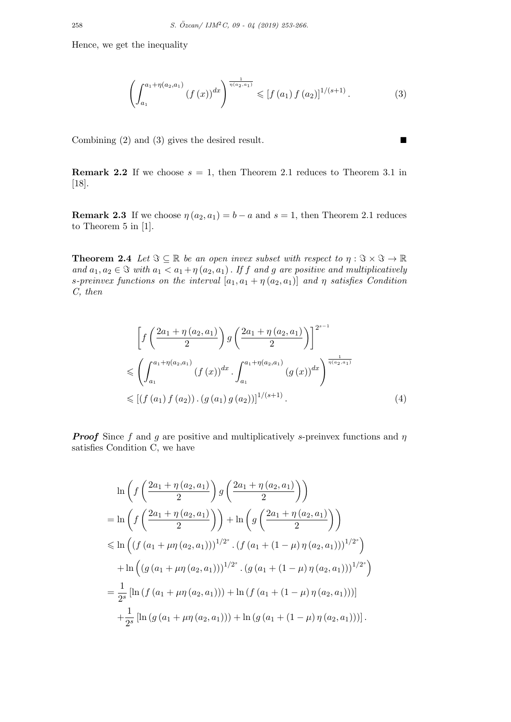$$
\left(\int_{a_1}^{a_1+\eta(a_2,a_1)} (f(x))^{dx}\right)^{\frac{1}{\eta(a_2,a_1)}} \leqslant [f(a_1)f(a_2)]^{1/(s+1)}.
$$
 (3)

Combining (2) and (3) gives the desired result.  $\blacksquare$ 

**Remark 2.2** If we choose  $s = 1$ , then Theorem 2.1 reduces to Theorem 3.1 in [18].

**Remark 2.3** If we choose  $\eta(a_2, a_1) = b - a$  and  $s = 1$ , then Theorem 2.1 reduces to Theorem 5 in [1].

**Theorem 2.4** *Let*  $\Im \subseteq \mathbb{R}$  *be an open invex subset with respect to*  $\eta : \Im \times \Im \to \mathbb{R}$ *and*  $a_1, a_2 \in \mathcal{F}$  *with*  $a_1 < a_1 + \eta(a_2, a_1)$ . If *f* and *g* are positive and multiplicatively *s*-preinvex functions on the interval  $[a_1, a_1 + \eta(a_2, a_1)]$  and  $\eta$  satisfies Condition *C, then*

$$
\left[f\left(\frac{2a_1 + \eta(a_2, a_1)}{2}\right)g\left(\frac{2a_1 + \eta(a_2, a_1)}{2}\right)\right]^{2^{s-1}}
$$
\n
$$
\leq \left(\int_{a_1}^{a_1 + \eta(a_2, a_1)} (f(x))^{dx} \cdot \int_{a_1}^{a_1 + \eta(a_2, a_1)} (g(x))^{dx}\right)^{\frac{1}{\eta(a_2, a_1)}}
$$
\n
$$
\leq \left[(f(a_1) f(a_2)) \cdot (g(a_1) g(a_2))\right]^{1/(s+1)}.
$$
\n(4)

*Proof* Since *f* and *g* are positive and multiplicatively *s*-preinvex functions and *η* satisfies Condition C, we have

$$
\ln\left(f\left(\frac{2a_1+\eta(a_2,a_1)}{2}\right)g\left(\frac{2a_1+\eta(a_2,a_1)}{2}\right)\right)
$$
  
= 
$$
\ln\left(f\left(\frac{2a_1+\eta(a_2,a_1)}{2}\right)\right) + \ln\left(g\left(\frac{2a_1+\eta(a_2,a_1)}{2}\right)\right)
$$
  

$$
\leq \ln\left((f(a_1+\mu\eta(a_2,a_1)))^{1/2^s} \cdot (f(a_1+(1-\mu)\eta(a_2,a_1)))^{1/2^s}\right)
$$
  
+ 
$$
\ln\left((g(a_1+\mu\eta(a_2,a_1)))^{1/2^s} \cdot (g(a_1+(1-\mu)\eta(a_2,a_1)))^{1/2^s}\right)
$$
  
= 
$$
\frac{1}{2^s}[\ln(f(a_1+\mu\eta(a_2,a_1))) + \ln(f(a_1+(1-\mu)\eta(a_2,a_1)))]
$$
  
+ 
$$
\frac{1}{2^s}[\ln(g(a_1+\mu\eta(a_2,a_1))) + \ln(g(a_1+(1-\mu)\eta(a_2,a_1)))]
$$
.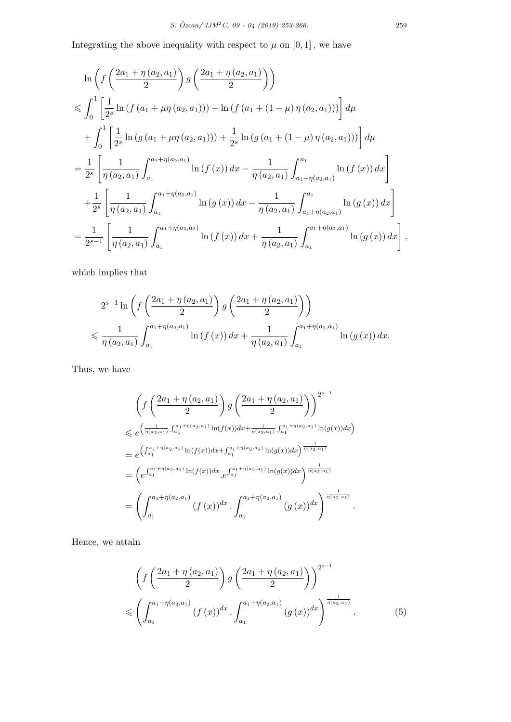Integrating the above inequality with respect to  $\mu$  on  $[0, 1]$ , we have

$$
\ln\left(f\left(\frac{2a_1+\eta(a_2,a_1)}{2}\right)g\left(\frac{2a_1+\eta(a_2,a_1)}{2}\right)\right)
$$
  
\n
$$
\leqslant \int_0^1 \left[\frac{1}{2^s}\ln\left(f\left(a_1+\mu\eta(a_2,a_1)\right)\right)+\ln\left(f\left(a_1+(1-\mu)\eta(a_2,a_1)\right)\right)\right]d\mu
$$
  
\n
$$
+\int_0^1 \left[\frac{1}{2^s}\ln\left(g\left(a_1+\mu\eta(a_2,a_1)\right)\right)+\frac{1}{2^s}\ln\left(g\left(a_1+(1-\mu)\eta(a_2,a_1)\right)\right)\right]d\mu
$$
  
\n
$$
=\frac{1}{2^s}\left[\frac{1}{\eta(a_2,a_1)}\int_{a_1}^{a_1+\eta(a_2,a_1)}\ln\left(f\left(x\right)\right)dx-\frac{1}{\eta(a_2,a_1)}\int_{a_1+\eta(a_2,a_1)}^{a_1}\ln\left(f\left(x\right)\right)dx\right]
$$
  
\n
$$
+\frac{1}{2^s}\left[\frac{1}{\eta(a_2,a_1)}\int_{a_1}^{a_1+\eta(a_2,a_1)}\ln\left(g\left(x\right)\right)dx-\frac{1}{\eta(a_2,a_1)}\int_{a_1+\eta(a_2,a_1)}^{a_1}\ln\left(g\left(x\right)\right)dx\right]
$$
  
\n
$$
=\frac{1}{2^{s-1}}\left[\frac{1}{\eta(a_2,a_1)}\int_{a_1}^{a_1+\eta(a_2,a_1)}\ln\left(f\left(x\right)\right)dx+\frac{1}{\eta(a_2,a_1)}\int_{a_1}^{a_1+\eta(a_2,a_1)}\ln\left(g\left(x\right)\right)dx\right],
$$

which implies that

$$
2^{s-1} \ln \left( f\left(\frac{2a_1 + \eta(a_2, a_1)}{2}\right) g\left(\frac{2a_1 + \eta(a_2, a_1)}{2}\right) \right)
$$
  
\$\leqslant \frac{1}{\eta(a\_2, a\_1)} \int\_{a\_1}^{a\_1 + \eta(a\_2, a\_1)} \ln (f(x)) dx + \frac{1}{\eta(a\_2, a\_1)} \int\_{a\_1}^{a\_1 + \eta(a\_2, a\_1)} \ln (g(x)) dx.\$

Thus, we have

$$
\left(f\left(\frac{2a_1+\eta(a_2,a_1)}{2}\right)g\left(\frac{2a_1+\eta(a_2,a_1)}{2}\right)\right)^{2^{s-1}}
$$
\n
$$
\leqslant e^{\left(\frac{1}{\eta(a_2,a_1)}\int_{a_1}^{a_1+\eta(a_2,a_1)}\ln(f(x))dx+\frac{1}{\eta(a_2,a_1)}\int_{a_1}^{a_1+\eta(a_2,a_1)}\ln(g(x))dx\right)}
$$
\n
$$
= e^{\left(\int_{a_1}^{a_1+\eta(a_2,a_1)}\ln(f(x))dx+\int_{a_1}^{a_1+\eta(a_2,a_1)}\ln(g(x))dx\right)^{\frac{1}{\eta(a_2,a_1)}}
$$
\n
$$
= \left(e^{\int_{a_1}^{a_1+\eta(a_2,a_1)}\ln(f(x))dx}\cdot e^{\int_{a_1}^{a_1+\eta(a_2,a_1)}\ln(g(x))dx}\right)^{\frac{1}{\eta(a_2,a_1)}}
$$
\n
$$
= \left(\int_{a_1}^{a_1+\eta(a_2,a_1)}(f(x))dx\cdot \int_{a_1}^{a_1+\eta(a_2,a_1)}(g(x))dx\right)^{\frac{1}{\eta(a_2,a_1)}}.
$$

Hence, we attain

$$
\left(f\left(\frac{2a_1 + \eta(a_2, a_1)}{2}\right)g\left(\frac{2a_1 + \eta(a_2, a_1)}{2}\right)\right)^{2^{s-1}}\n\leq \left(\int_{a_1}^{a_1 + \eta(a_2, a_1)} (f(x))^{dx} \cdot \int_{a_1}^{a_1 + \eta(a_2, a_1)} (g(x))^{dx}\right)^{\frac{1}{\eta(a_2, a_1)}}.
$$
\n(5)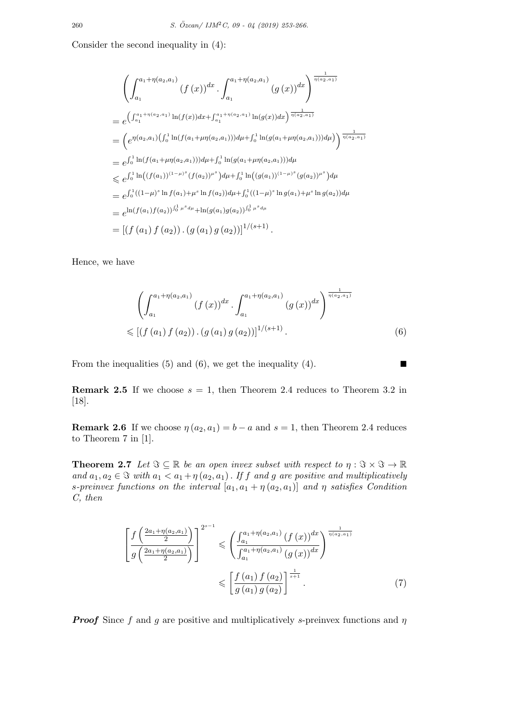Consider the second inequality in (4):

$$
\left(\int_{a_1}^{a_1+\eta(a_2,a_1)} (f(x))^{dx} \cdot \int_{a_1}^{a_1+\eta(a_2,a_1)} (g(x))^{dx}\right)^{\frac{1}{\eta(a_2,a_1)}}
$$
\n
$$
= e^{\left(\int_{a_1}^{a_1+\eta(a_2,a_1)} \ln(f(x))dx + \int_{a_1}^{a_1+\eta(a_2,a_1)} \ln(g(x))dx\right)^{\frac{1}{\eta(a_2,a_1)}}}
$$
\n
$$
= \left(e^{\eta(a_2,a_1)\left(\int_0^1 \ln(f(a_1+\mu\eta(a_2,a_1)))d\mu + \int_0^1 \ln(g(a_1+\mu\eta(a_2,a_1)))d\mu\right)\right)^{\frac{1}{\eta(a_2,a_1)}}
$$
\n
$$
= e^{\int_0^1 \ln(f(a_1+\mu\eta(a_2,a_1)))d\mu + \int_0^1 \ln(g(a_1+\mu\eta(a_2,a_1)))d\mu}
$$
\n
$$
\leq e^{\int_0^1 \ln((f(a_1))^{(1-\mu)^s}(f(a_2))^{\mu^s})d\mu + \int_0^1 \ln((g(a_1))^{(1-\mu)^s}(g(a_2))^{\mu^s})d\mu}
$$
\n
$$
= e^{\int_0^1 ((1-\mu)^s \ln f(a_1) + \mu^s \ln f(a_2))d\mu + \int_0^1 ((1-\mu)^s \ln g(a_1) + \mu^s \ln g(a_2))d\mu}
$$
\n
$$
= e^{\ln(f(a_1)f(a_2))\int_0^1 \mu^s d\mu} + \ln(g(a_1)g(a_2))\int_0^1 \mu^s d\mu}
$$
\n
$$
= \left[\left(f(a_1) f(a_2) \right) \cdot \left(g(a_1) g(a_2) \right)\right]^{1/(s+1)}.
$$

Hence, we have

$$
\left(\int_{a_1}^{a_1+\eta(a_2,a_1)} (f(x))^{dx} \cdot \int_{a_1}^{a_1+\eta(a_2,a_1)} (g(x))^{dx}\right)^{\frac{1}{\eta(a_2,a_1)}}
$$
  

$$
\leq [(f(a_1) f(a_2)) \cdot (g(a_1) g(a_2))]^{1/(s+1)}.
$$
 (6)

From the inequalities (5) and (6), we get the inequality (4).  $\blacksquare$ 

**Remark 2.5** If we choose  $s = 1$ , then Theorem 2.4 reduces to Theorem 3.2 in [18].

**Remark 2.6** If we choose  $\eta(a_2, a_1) = b - a$  and  $s = 1$ , then Theorem 2.4 reduces to Theorem 7 in [1].

**Theorem 2.7** *Let*  $\Im \subseteq \mathbb{R}$  *be an open invex subset with respect to*  $\eta : \Im \times \Im \to \mathbb{R}$ *and*  $a_1, a_2 \in \mathcal{F}$  *with*  $a_1 < a_1 + \eta(a_2, a_1)$ . If *f* and *g* are positive and multiplicatively *s*-preinvex functions on the interval  $[a_1, a_1 + \eta(a_2, a_1)]$  and  $\eta$  satisfies Condition *C, then*

$$
\left[\frac{f\left(\frac{2a_{1}+\eta(a_{2},a_{1})}{2}\right)}{g\left(\frac{2a_{1}+\eta(a_{2},a_{1})}{2}\right)}\right]^{2^{s-1}} \leq \left(\frac{\int_{a_{1}}^{a_{1}+\eta(a_{2},a_{1})}(f(x))^{dx}}{\int_{a_{1}}^{a_{1}+\eta(a_{2},a_{1})}(g(x))^{dx}}\right)^{\frac{1}{\eta(a_{2},a_{1})}}
$$
\n
$$
\leq \left[\frac{f\left(a_{1}\right)f\left(a_{2}\right)}{g\left(a_{1}\right)g\left(a_{2}\right)}\right]^{\frac{1}{s+1}}.\tag{7}
$$

*Proof* Since *f* and *g* are positive and multiplicatively *s*-preinvex functions and *η*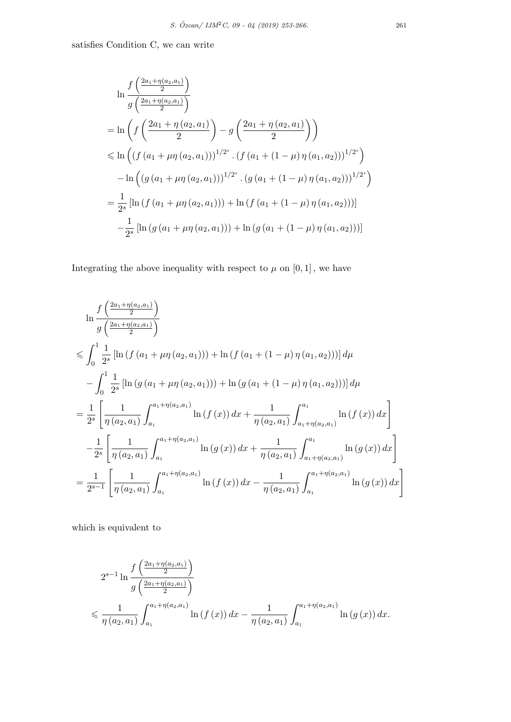satisfies Condition C, we can write

$$
\ln \frac{f\left(\frac{2a_1 + \eta(a_2, a_1)}{2}\right)}{g\left(\frac{2a_1 + \eta(a_2, a_1)}{2}\right)}
$$
\n
$$
= \ln \left(f\left(\frac{2a_1 + \eta(a_2, a_1)}{2}\right) - g\left(\frac{2a_1 + \eta(a_2, a_1)}{2}\right)\right)
$$
\n
$$
\leq \ln \left((f\left(a_1 + \mu\eta(a_2, a_1)\right))^{1/2^s} \cdot (f\left(a_1 + (1 - \mu)\eta(a_1, a_2)\right))^{1/2^s}\right)
$$
\n
$$
- \ln \left((g\left(a_1 + \mu\eta(a_2, a_1)\right))^{1/2^s} \cdot (g\left(a_1 + (1 - \mu)\eta(a_1, a_2)\right))^{1/2^s}\right)
$$
\n
$$
= \frac{1}{2^s} \left[\ln \left(f\left(a_1 + \mu\eta(a_2, a_1)\right)\right) + \ln \left(f\left(a_1 + (1 - \mu)\eta(a_1, a_2)\right)\right)\right]
$$
\n
$$
- \frac{1}{2^s} \left[\ln \left(g\left(a_1 + \mu\eta(a_2, a_1)\right)\right) + \ln \left(g\left(a_1 + (1 - \mu)\eta(a_1, a_2)\right)\right)\right]
$$

Integrating the above inequality with respect to  $\mu$  on  $[0, 1]$ , we have

$$
\ln \frac{f\left(\frac{2a_1 + \eta(a_2, a_1)}{2}\right)}{g\left(\frac{2a_1 + \eta(a_2, a_1)}{2}\right)}
$$
\n
$$
\leqslant \int_0^1 \frac{1}{2^s} \left[ \ln \left( f\left(a_1 + \mu \eta\left(a_2, a_1\right)\right) \right) + \ln \left( f\left(a_1 + (1 - \mu) \eta\left(a_1, a_2\right)\right) \right] d\mu
$$
\n
$$
- \int_0^1 \frac{1}{2^s} \left[ \ln \left( g\left(a_1 + \mu \eta\left(a_2, a_1\right)\right) \right) + \ln \left( g\left(a_1 + (1 - \mu) \eta\left(a_1, a_2\right)\right) \right) \right] d\mu
$$
\n
$$
= \frac{1}{2^s} \left[ \frac{1}{\eta(a_2, a_1)} \int_{a_1}^{a_1 + \eta(a_2, a_1)} \ln \left( f\left(x\right) \right) dx + \frac{1}{\eta(a_2, a_1)} \int_{a_1 + \eta(a_2, a_1)}^{a_1} \ln \left( f\left(x\right) \right) dx \right]
$$
\n
$$
- \frac{1}{2^s} \left[ \frac{1}{\eta(a_2, a_1)} \int_{a_1}^{a_1 + \eta(a_2, a_1)} \ln \left( g\left(x\right) \right) dx + \frac{1}{\eta(a_2, a_1)} \int_{a_1 + \eta(a_2, a_1)}^{a_1} \ln \left( g\left(x\right) \right) dx \right]
$$
\n
$$
= \frac{1}{2^{s-1}} \left[ \frac{1}{\eta(a_2, a_1)} \int_{a_1}^{a_1 + \eta(a_2, a_1)} \ln \left( f\left(x\right) \right) dx - \frac{1}{\eta(a_2, a_1)} \int_{a_1}^{a_1 + \eta(a_2, a_1)} \ln \left( g\left(x\right) \right) dx \right]
$$

which is equivalent to

$$
2^{s-1} \ln \frac{f\left(\frac{2a_1 + \eta(a_2, a_1)}{2}\right)}{g\left(\frac{2a_1 + \eta(a_2, a_1)}{2}\right)}
$$
  
\$\leqslant \frac{1}{\eta(a\_2, a\_1)} \int\_{a\_1}^{a\_1 + \eta(a\_2, a\_1)} \ln(f(x)) dx - \frac{1}{\eta(a\_2, a\_1)} \int\_{a\_1}^{a\_1 + \eta(a\_2, a\_1)} \ln(g(x)) dx.\$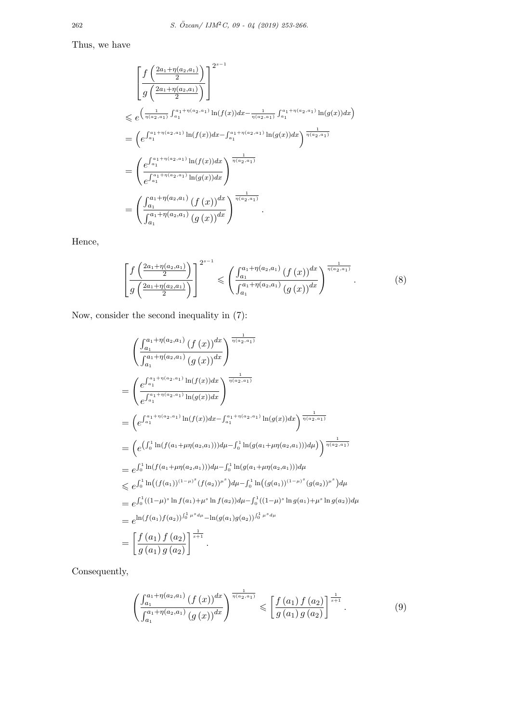Thus, we have

$$
\begin{split}\n&\left[\frac{f\left(\frac{2a_{1}+\eta(a_{2},a_{1})}{2}\right)}{g\left(\frac{2a_{1}+\eta(a_{2},a_{1})}{2}\right)}\right]^{2^{s-1}} \\
&\leqslant e^{\left(\frac{1}{\eta(a_{2},a_{1})}\int_{a_{1}}^{a_{1}+\eta(a_{2},a_{1})}\ln(f(x))dx-\frac{1}{\eta(a_{2},a_{1})}\int_{a_{1}}^{a_{1}+\eta(a_{2},a_{1})}\ln(g(x))dx\right)} \\
&=\left(e^{\int_{a_{1}}^{a_{1}+\eta(a_{2},a_{1})}\ln(f(x))dx-\int_{a_{1}}^{a_{1}+\eta(a_{2},a_{1})}\ln(g(x))dx\right)^{\frac{1}{\eta(a_{2},a_{1})}} \\
&=\left(\frac{e^{\int_{a_{1}}^{a_{1}+\eta(a_{2},a_{1})}\ln(f(x))dx}}{e^{\int_{a_{1}}^{a_{1}+\eta(a_{2},a_{1})}\ln(g(x))dx}}\right)^{\frac{1}{\eta(a_{2},a_{1})}} \\
&=\left(\frac{\int_{a_{1}}^{a_{1}+\eta(a_{2},a_{1})}\left(f(x)\right)^{dx}}{\int_{a_{1}}^{a_{1}+\eta(a_{2},a_{1})}\left(g(x)\right)^{dx}}\right)^{\frac{1}{\eta(a_{2},a_{1})}}.\n\end{split}
$$

Hence,

$$
\left[\frac{f\left(\frac{2a_1+\eta(a_2,a_1)}{2}\right)}{g\left(\frac{2a_1+\eta(a_2,a_1)}{2}\right)}\right]^{2^{s-1}} \leqslant \left(\frac{\int_{a_1}^{a_1+\eta(a_2,a_1)}(f(x))^{dx}}{\int_{a_1}^{a_1+\eta(a_2,a_1)}(g(x))^{dx}}\right)^{\frac{1}{\eta(a_2,a_1)}}.
$$
\n(8)

Now, consider the second inequality in (7):

$$
\begin{split}\n&\left(\frac{\int_{a_1}^{a_1+\eta(a_2,a_1)}(f(x))^{dx}}{\int_{a_1}^{a_1+\eta(a_2,a_1)}(g(x))^{dx}}\right)^{\frac{1}{\eta(a_2,a_1)}} \\
&= \left(\frac{e^{\int_{a_1}^{a_1+\eta(a_2,a_1)}\ln(f(x))dx}}{e^{\int_{a_1}^{a_1+\eta(a_2,a_1)}\ln(g(x))dx}}\right)^{\frac{1}{\eta(a_2,a_1)}} \\
&= \left(e^{\int_{a_1}^{a_1+\eta(a_2,a_1)}\ln(f(x))dx - \int_{a_1}^{a_1+\eta(a_2,a_1)}\ln(g(x))dx}\right)^{\frac{1}{\eta(a_2,a_1)}} \\
&= \left(e^{\int_{a_1}^{1}\ln(f(a_1+\mu\eta(a_2,a_1)))d\mu - \int_{0}^{1}\ln(g(a_1+\mu\eta(a_2,a_1)))d\mu}\right)^{\frac{1}{\eta(a_2,a_1)}} \\
&= e^{\int_{0}^{1}\ln(f(a_1+\mu\eta(a_2,a_1)))d\mu - \int_{0}^{1}\ln(g(a_1+\mu\eta(a_2,a_1)))d\mu} \\
&\leq e^{\int_{0}^{1}\ln((f(a_1))^{(1-\mu)^s}(f(a_2))^{\mu^s})d\mu - \int_{0}^{1}\ln((g(a_1))^{(1-\mu)^s}(g(a_2))^{\mu^s})d\mu} \\
&= e^{\int_{0}^{1}((1-\mu)^s\ln f(a_1)+\mu^s\ln f(a_2))d\mu - \int_{0}^{1}((1-\mu)^s\ln g(a_1)+\mu^s\ln g(a_2))d\mu} \\
&= e^{\ln(f(a_1)f(a_2))\int_{0}^{1}\mu^s d\mu} - \ln(g(a_1)g(a_2))\int_{0}^{1}\mu^s d\mu} \\
&= \left[\frac{f(a_1)f(a_2)}{g(a_1)g(a_2)}\right]^{\frac{1}{s+1}}.\n\end{split}
$$

Consequently,

$$
\left(\frac{\int_{a_1}^{a_1+\eta(a_2,a_1)}(f(x))^{dx}}{\int_{a_1}^{a_1+\eta(a_2,a_1)}(g(x))^{dx}}\right)^{\frac{1}{\eta(a_2,a_1)}} \leqslant \left[\frac{f(a_1)f(a_2)}{g(a_1)g(a_2)}\right]^{\frac{1}{s+1}}.
$$
\n(9)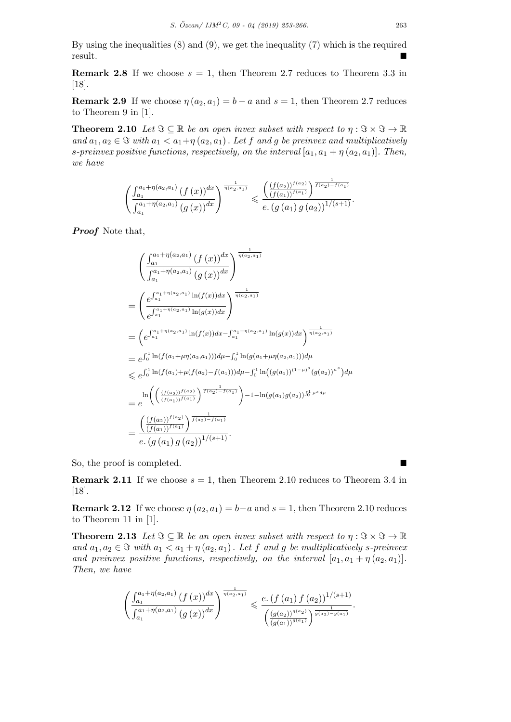By using the inequalities (8) and (9), we get the inequality (7) which is the required result.

**Remark 2.8** If we choose  $s = 1$ , then Theorem 2.7 reduces to Theorem 3.3 in [18].

**Remark 2.9** If we choose  $\eta(a_2, a_1) = b - a$  and  $s = 1$ , then Theorem 2.7 reduces to Theorem 9 in [1].

**Theorem 2.10** *Let*  $\Im \subseteq \mathbb{R}$  *be an open invex subset with respect to*  $\eta : \Im \times \Im \to \mathbb{R}$ *and*  $a_1, a_2 \in \mathcal{F}$  *with*  $a_1 < a_1 + \eta(a_2, a_1)$ . Let f and g be preinvex and multiplicatively *s*-preinvex positive functions, respectively, on the interval  $[a_1, a_1 + \eta(a_2, a_1)]$ . Then, *we have*

$$
\left(\frac{\int_{a_1}^{a_1+\eta(a_2,a_1)}(f(x))^{dx}}{\int_{a_1}^{a_1+\eta(a_2,a_1)}(g(x))^{dx}}\right)^{\frac{1}{\eta(a_2,a_1)}} \leqslant \frac{\left(\frac{(f(a_2))^{f(a_2)}}{(f(a_1))^{f(a_1)}}\right)^{\frac{1}{f(a_2)-f(a_1)}}}{e.\left(g\left(a_1\right)g\left(a_2\right)\right)^{1/(s+1)}}.
$$

*Proof* Note that,

$$
\begin{split}\n&\left(\frac{\int_{a_1}^{a_1+\eta(a_2,a_1)}(f(x))^{dx}}{\int_{a_1}^{a_1+\eta(a_2,a_1)}(g(x))^{dx}}\right)^{\frac{1}{\eta(a_2,a_1)}} \\
&=\left(\frac{e^{\int_{a_1}^{a_1+\eta(a_2,a_1)}\ln(f(x))dx}}{e^{\int_{a_1}^{a_1+\eta(a_2,a_1)}\ln(g(x))dx}}\right)^{\frac{1}{\eta(a_2,a_1)}} \\
&=\left(e^{\int_{a_1}^{a_1+\eta(a_2,a_1)}\ln(f(x))dx-\int_{a_1}^{a_1+\eta(a_2,a_1)}\ln(g(x))dx}\right)^{\frac{1}{\eta(a_2,a_1)}} \\
&=e^{\int_0^1\ln(f(a_1+\mu\eta(a_2,a_1)))d\mu-\int_0^1\ln(g(a_1+\mu\eta(a_2,a_1)))d\mu} \\
&\leqslant e^{\int_0^1\ln(f(a_1)+\mu(f(a_2)-f(a_1)))d\mu-\int_0^1\ln((g(a_1))^{(1-\mu)^s}(g(a_2))^{\mu^s})d\mu} \\
&=e^{\ln\left(\left(\frac{(f(a_2))^{f(a_2)}}{(f(a_1))^{f(a_1)}\right)^{\overline{f(a_2)}-f(a_1)}}\right)-1-\ln(g(a_1)g(a_2))^{f_0^1\mu^s}d\mu} \\
&=\frac{\left(\frac{(f(a_2))^{f(a_2)}}{(f(a_1))^{f(a_1)}\right)^{\overline{f(a_2)}-f(a_1)}}{e\cdot(g(a_1)g(a_2))^{1/(s+1)}}.\n\end{split}
$$

So, the proof is completed. ■

**Remark 2.11** If we choose  $s = 1$ , then Theorem 2.10 reduces to Theorem 3.4 in [18].

**Remark 2.12** If we choose  $\eta(a_2, a_1) = b - a$  and  $s = 1$ , then Theorem 2.10 reduces to Theorem 11 in [1].

**Theorem 2.13** *Let*  $\Im \subseteq \mathbb{R}$  *be an open invex subset with respect to*  $\eta : \Im \times \Im \to \mathbb{R}$ *and*  $a_1, a_2 \in \mathcal{F}$  *with*  $a_1 < a_1 + \eta(a_2, a_1)$ . Let f and g be multiplicatively *s*-preinvex *and preinvex positive functions, respectively, on the interval*  $[a_1, a_1 + \eta (a_2, a_1)]$ . *Then, we have*

$$
\left(\frac{\int_{a_1}^{a_1+\eta(a_2,a_1)}(f(x))^{dx}}{\int_{a_1}^{a_1+\eta(a_2,a_1)}(g(x))^{dx}}\right)^{\frac{1}{\eta(a_2,a_1)}} \leqslant \frac{e.\left(f\left(a_1\right)f\left(a_2\right)\right)^{1/(s+1)}}{\left(\frac{\left(g\left(a_2\right)\right)^{g\left(a_2\right)}\right)^{\frac{1}{g\left(a_2\right)-g\left(a_1\right)}}}{\left(g\left(a_1\right)\right)^{g\left(a_1\right)}\right)^{\frac{1}{g\left(a_2\right)-g\left(a_1\right)}}}.
$$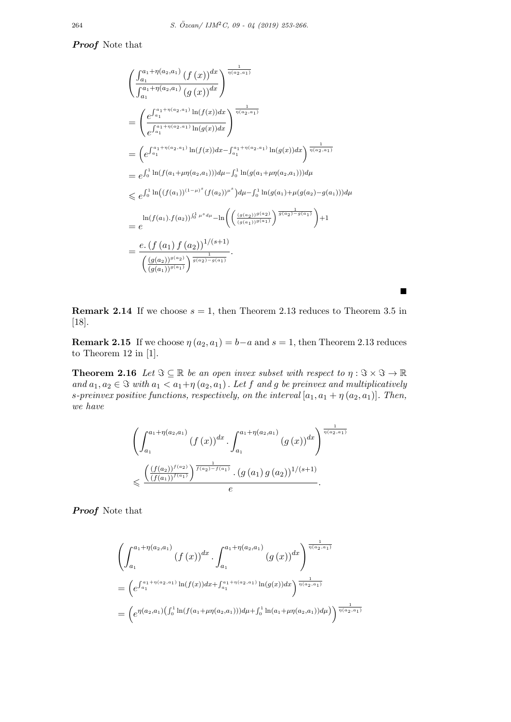## *Proof* Note that

$$
\begin{split}\n&\left(\frac{\int_{a_1}^{a_1+\eta(a_2,a_1)}(f(x))^{dx}}{\int_{a_1}^{a_1+\eta(a_2,a_1)}(g(x))^{dx}}\right)^{\frac{1}{\eta(a_2,a_1)}} \\
&= \left(\frac{e^{\int_{a_1}^{a_1+\eta(a_2,a_1)}\ln(f(x))dx}}{e^{\int_{a_1}^{a_1+\eta(a_2,a_1)}\ln(g(x))dx}}\right)^{\frac{1}{\eta(a_2,a_1)}} \\
&= \left(e^{\int_{a_1}^{a_1+\eta(a_2,a_1)}\ln(f(x))dx} - \int_{a_1}^{a_1+\eta(a_2,a_1)}\ln(g(x))dx}\right)^{\frac{1}{\eta(a_2,a_1)}} \\
&= e^{\int_0^1\ln(f(a_1+\mu\eta(a_2,a_1)))d\mu - \int_0^1\ln(g(a_1+\mu\eta(a_2,a_1)))d\mu} \\
&\leqslant e^{\int_0^1\ln\left((f(a_1))^{(1-\mu)^s}(f(a_2))^{\mu^s}\right)d\mu - \int_0^1\ln(g(a_1)+\mu(g(a_2)-g(a_1)))d\mu} \\
&= \frac{\ln(f(a_1).f(a_2))^{\int_0^1\mu^s d\mu} - \ln\left(\left(\frac{(g(a_2))^{g(a_2)}}{(g(a_1))^{g(a_1)}}\right)^{\frac{1}{g(a_2)-g(a_1)}}\right)+1 \\
&= \frac{e\cdot\left(f(a_1) f(a_2)\right)^{1/(s+1)}}{\left(\frac{(g(a_2))^{g(a_2)}}{(g(a_1))^{g(a_1)}}\right)^{\frac{1}{g(a_2)-g(a_1)}}}.\n\end{split}
$$

**Remark 2.14** If we choose  $s = 1$ , then Theorem 2.13 reduces to Theorem 3.5 in [18].

■

**Remark 2.15** If we choose  $\eta(a_2, a_1) = b - a$  and  $s = 1$ , then Theorem 2.13 reduces to Theorem 12 in [1].

**Theorem 2.16** *Let*  $\Im \subseteq \mathbb{R}$  *be an open invex subset with respect to*  $\eta : \Im \times \Im \to \mathbb{R}$ *and*  $a_1, a_2 \in \mathcal{F}$  *with*  $a_1 < a_1 + \eta(a_2, a_1)$ . Let f and g be preinvex and multiplicatively *s*-preinvex positive functions, respectively, on the interval  $[a_1, a_1 + \eta(a_2, a_1)]$ . Then, *we have*

$$
\left(\int_{a_1}^{a_1+\eta(a_2,a_1)} (f(x))^{dx} \cdot \int_{a_1}^{a_1+\eta(a_2,a_1)} (g(x))^{dx}\right)^{\frac{1}{\eta(a_2,a_1)}}
$$
  

$$
\leq \frac{\left(\frac{(f(a_2))^{f(a_2)}}{(f(a_1))^{f(a_1)}}\right)^{\frac{1}{f(a_2)-f(a_1)}} \cdot (g(a_1)g(a_2))^{1/(s+1)}}{e}.
$$

*Proof* Note that

$$
\left(\int_{a_1}^{a_1+\eta(a_2,a_1)} (f(x))^{dx} \cdot \int_{a_1}^{a_1+\eta(a_2,a_1)} (g(x))^{dx}\right)^{\frac{1}{\eta(a_2,a_1)}}
$$
\n
$$
= \left(e^{\int_{a_1}^{a_1+\eta(a_2,a_1)} \ln(f(x))dx + \int_{a_1}^{a_1+\eta(a_2,a_1)} \ln(g(x))dx}\right)^{\frac{1}{\eta(a_2,a_1)}}
$$
\n
$$
= \left(e^{\eta(a_2,a_1)}\left(\int_0^1 \ln(f(a_1+\mu\eta(a_2,a_1)))d\mu + \int_0^1 \ln(a_1+\mu\eta(a_2,a_1))d\mu\right)\right)^{\frac{1}{\eta(a_2,a_1)}}
$$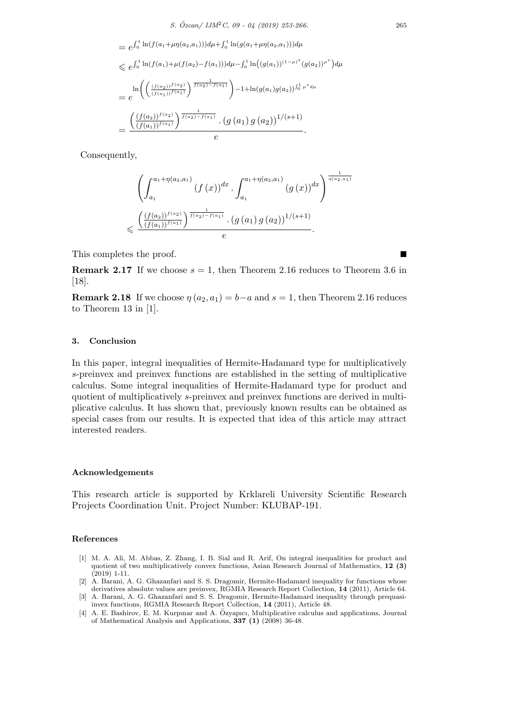$$
= e^{\int_0^1 \ln(f(a_1 + \mu \eta(a_2, a_1))) d\mu + \int_0^1 \ln(g(a_1 + \mu \eta(a_2, a_1))) d\mu}
$$
  
\n
$$
\leq e^{\int_0^1 \ln(f(a_1) + \mu(f(a_2) - f(a_1))) d\mu - \int_0^1 \ln((g(a_1))^{(1-\mu)^s} (g(a_2))^{\mu^s}) d\mu}
$$
  
\n
$$
= e^{\ln\left(\left(\frac{(f(a_2))^{f(a_2)}}{(f(a_1))^{f(a_1)}}\right)^{\frac{1}{f(a_2) - f(a_1)}}\right) - 1 + \ln(g(a_1)g(a_2))^{ \int_0^1 \mu^s d\mu}
$$
  
\n
$$
= \frac{\left(\frac{(f(a_2))^{f(a_2)}}{(f(a_1))^{f(a_1)}}\right)^{\frac{1}{f(a_2) - f(a_1)}} \cdot (g(a_1)g(a_2))^{1/(s+1)}}{e}.
$$

Consequently,

$$
\left(\int_{a_1}^{a_1+\eta(a_2,a_1)} (f(x))^{dx} \cdot \int_{a_1}^{a_1+\eta(a_2,a_1)} (g(x))^{dx}\right)^{\frac{1}{\eta(a_2,a_1)}}
$$
  

$$
\leq \frac{\left(\frac{(f(a_2))^{f(a_2)}}{(f(a_1))^{f(a_1)}}\right)^{\frac{1}{f(a_2)-f(a_1)}} \cdot (g(a_1)g(a_2))^{1/(s+1)}}{e}.
$$

This completes the proof.

**Remark 2.17** If we choose  $s = 1$ , then Theorem 2.16 reduces to Theorem 3.6 in [18].

**Remark 2.18** If we choose  $\eta(a_2, a_1) = b-a$  and  $s = 1$ , then Theorem 2.16 reduces to Theorem 13 in [1].

#### **3. Conclusion**

In this paper, integral inequalities of Hermite-Hadamard type for multiplicatively *s*-preinvex and preinvex functions are established in the setting of multiplicative calculus. Some integral inequalities of Hermite-Hadamard type for product and quotient of multiplicatively *s*-preinvex and preinvex functions are derived in multiplicative calculus. It has shown that, previously known results can be obtained as special cases from our results. It is expected that idea of this article may attract interested readers.

#### **Acknowledgements**

This research article is supported by Krklareli University Scientific Research Projects Coordination Unit. Project Number: KLUBAP-191.

#### **References**

- [1] M. A. Ali, M. Abbas, Z. Zhang, I. B. Sial and R. Arif, On integral inequalities for product and quotient of two multiplicatively convex functions, Asian Research Journal of Mathematics, **12 (3)** (2019) 1-11.
- [2] A. Barani, A. G. Ghazanfari and S. S. Dragomir, Hermite-Hadamard inequality for functions whose derivatives absolute values are preinvex, RGMIA Research Report Collection, **14** (2011), Article 64.
- [3] A. Barani, A. G. Ghazanfari and S. S. Dragomir, Hermite-Hadamard inequality through prequasiinvex functions, RGMIA Research Report Collection, **14** (2011), Article 48.
- [4] A. E. Bashirov, E. M. Kurpınar and A. Ozyapıcı, Multiplicative calculus and applications, Journal ¨ of Mathematical Analysis and Applications, **337 (1)** (2008) 36-48.